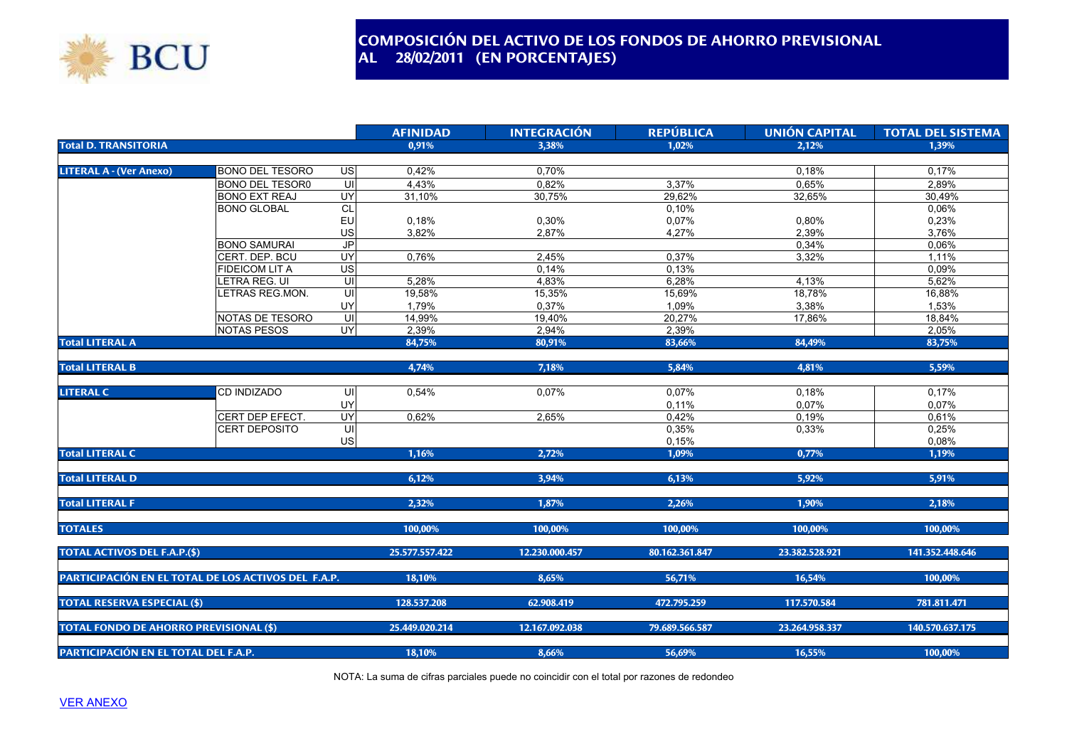

## **COMPOSICIÓN DEL ACTIVO DE LOS FONDOS DE AHORRO PREVISIONAL AL 28/02/2011 (EN PORCENTAJES)**

|                                                     |                        |                         | <b>AFINIDAD</b> | <b>INTEGRACIÓN</b> | <b>REPÚBLICA</b> | <b>UNIÓN CAPITAL</b> | <b>TOTAL DEL SISTEMA</b> |
|-----------------------------------------------------|------------------------|-------------------------|-----------------|--------------------|------------------|----------------------|--------------------------|
| <b>Total D. TRANSITORIA</b>                         |                        |                         | 0,91%           | 3,38%              | 1.02%            | 2,12%                | 1,39%                    |
|                                                     |                        |                         |                 |                    |                  |                      |                          |
| <b>LITERAL A - (Ver Anexo)</b>                      | <b>BONO DEL TESORO</b> | US                      | 0,42%           | 0,70%              |                  | 0,18%                | 0,17%                    |
|                                                     | <b>BONO DEL TESOR0</b> | $\overline{\mathsf{C}}$ | 4,43%           | 0,82%              | 3,37%            | 0,65%                | 2,89%                    |
|                                                     | <b>BONO EXT REAJ</b>   | UY                      | 31,10%          | 30,75%             | 29,62%           | 32,65%               | 30,49%                   |
|                                                     | <b>BONO GLOBAL</b>     | CL                      |                 |                    | 0,10%            |                      | 0,06%                    |
|                                                     |                        | EU                      | 0,18%           | 0,30%              | 0,07%            | 0,80%                | 0,23%                    |
|                                                     |                        | US                      | 3,82%           | 2,87%              | 4,27%            | 2,39%                | 3,76%                    |
|                                                     | <b>BONO SAMURAI</b>    | J <sub>P</sub>          |                 |                    |                  | 0,34%                | 0,06%                    |
|                                                     | CERT. DEP. BCU         | UY                      | 0,76%           | 2,45%              | 0,37%            | 3,32%                | 1,11%                    |
|                                                     | <b>FIDEICOM LIT A</b>  | US                      |                 | 0,14%              | 0,13%            |                      | 0,09%                    |
|                                                     | LETRA REG. UI          | UI                      | 5,28%           | 4,83%              | 6,28%            | 4,13%                | 5,62%                    |
|                                                     | LETRAS REG.MON.        | UI                      | 19,58%          | 15,35%             | 15,69%           | 18,78%               | 16,88%                   |
|                                                     |                        | UY                      | 1,79%           | 0,37%              | 1,09%            | 3,38%                | 1,53%                    |
|                                                     | NOTAS DE TESORO        | UI                      | 14,99%          | 19,40%             | 20,27%           | 17.86%               | 18,84%                   |
|                                                     | <b>NOTAS PESOS</b>     | UY                      | 2,39%           | 2,94%              | 2,39%            |                      | 2,05%                    |
| <b>Total LITERAL A</b>                              |                        |                         | 84,75%          | 80,91%             | 83,66%           | 84,49%               | 83,75%                   |
|                                                     |                        |                         |                 |                    |                  |                      |                          |
| <b>Total LITERAL B</b>                              |                        |                         | 4,74%           | 7,18%              | 5,84%            | 4,81%                | 5,59%                    |
|                                                     |                        |                         |                 |                    |                  |                      |                          |
| <b>LITERAL C</b>                                    | CD INDIZADO            | UI                      | 0,54%           | 0,07%              | 0,07%            | 0,18%                | 0,17%                    |
|                                                     |                        | UY                      |                 |                    | 0,11%            | 0,07%                | 0,07%                    |
|                                                     | CERT DEP EFECT.        | UY                      | 0,62%           | 2.65%              | 0,42%            | 0.19%                | 0,61%                    |
|                                                     | <b>CERT DEPOSITO</b>   | UI                      |                 |                    | 0,35%            | 0,33%                | 0,25%                    |
|                                                     |                        | US                      |                 |                    | 0,15%            |                      | 0,08%                    |
| <b>Total LITERAL C</b>                              |                        |                         | 1,16%           | 2,72%              | 1,09%            | 0,77%                | 1,19%                    |
|                                                     |                        |                         |                 |                    |                  |                      |                          |
| <b>Total LITERAL D</b>                              |                        |                         | 6,12%           | 3,94%              | 6,13%            | 5,92%                | 5,91%                    |
|                                                     |                        |                         |                 |                    |                  |                      |                          |
| <b>Total LITERAL F</b>                              |                        |                         | 2,32%           | 1,87%              | 2,26%            | 1,90%                | 2,18%                    |
|                                                     |                        |                         |                 |                    |                  |                      |                          |
| <b>TOTALES</b>                                      |                        |                         | 100,00%         | 100,00%            | 100,00%          | 100,00%              | 100,00%                  |
|                                                     |                        |                         |                 |                    |                  |                      |                          |
| <b>TOTAL ACTIVOS DEL F.A.P.(\$)</b>                 |                        |                         | 25.577.557.422  | 12.230.000.457     | 80.162.361.847   | 23.382.528.921       | 141.352.448.646          |
|                                                     |                        |                         |                 |                    |                  |                      |                          |
| PARTICIPACIÓN EN EL TOTAL DE LOS ACTIVOS DEL F.A.P. |                        |                         | 18,10%          | 8,65%              | 56,71%           | 16,54%               | 100,00%                  |
|                                                     |                        |                         |                 |                    |                  |                      |                          |
| <b>TOTAL RESERVA ESPECIAL (\$)</b>                  |                        |                         | 128.537.208     | 62.908.419         | 472.795.259      | 117.570.584          | 781.811.471              |
|                                                     |                        |                         |                 |                    |                  |                      |                          |
| <b>TOTAL FONDO DE AHORRO PREVISIONAL (\$)</b>       |                        |                         | 25.449.020.214  | 12.167.092.038     | 79.689.566.587   | 23.264.958.337       | 140.570.637.175          |
|                                                     |                        |                         |                 |                    |                  |                      |                          |
| PARTICIPACIÓN EN EL TOTAL DEL F.A.P.                |                        |                         | 18,10%          | 8,66%              | 56,69%           | 16,55%               | 100,00%                  |

NOTA: La suma de cifras parciales puede no coincidir con el total por razones de redondeo